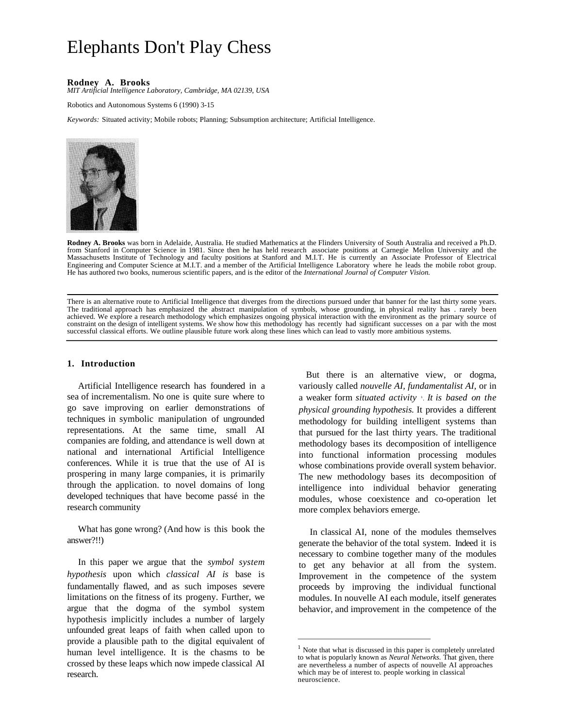# Elephants Don't Play Chess

#### **Rodney A. Brooks**

*MIT Artificial Intelligence Laboratory, Cambridge, MA 02139, USA*

Robotics and Autonomous Systems 6 (1990) 3-15

*Keywords:* Situated activity; Mobile robots; Planning; Subsumption architecture; Artificial Intelligence.



**Rodney A. Brooks** was born in Adelaide, Australia. He studied Mathematics at the Flinders University of South Australia and received a Ph.D. from Stanford in Computer Science in 1981. Since then he has held research associate positions at Carnegie Mellon University and the Massachusetts Institute of Technology and faculty positions at Stanford and M.I.T. He is currently an Associate Professor of Electrical Engineering and Computer Science at M.I.T. and a member of the Artificial Intelligence Laboratory where he leads the mobile robot group. He has authored two books, numerous scientific papers, and is the editor of the *International Journal of Computer Vision.*

There is an alternative route to Artificial Intelligence that diverges from the directions pursued under that banner for the last thirty some years. The traditional approach has emphasized the abstract manipulation of symbols, whose grounding, in physical reality has . rarely been achieved. We explore a research methodology which emphasizes ongoing physical interaction with the environment as the primary source of constraint on the design of intelligent systems. We show how this methodology has recently had significant successes on a par with the most successful classical efforts. We outline plausible future work along these lines which can lead to vastly more ambitious systems.

 $\overline{a}$ 

#### **1. Introduction**

Artificial Intelligence research has foundered in a sea of incrementalism. No one is quite sure where to go save improving on earlier demonstrations of techniques in symbolic manipulation of ungrounded representations. At the same time, small AI companies are folding, and attendance is well down at national and international Artificial Intelligence conferences. While it is true that the use of AI is prospering in many large companies, it is primarily through the application. to novel domains of long developed techniques that have become passé in the research community

What has gone wrong? (And how is this book the answer?!!)

In this paper we argue that the *symbol system hypothesis* upon which *classical AI is* base is fundamentally flawed, and as such imposes severe limitations on the fitness of its progeny. Further, we argue that the dogma of the symbol system hypothesis implicitly includes a number of largely unfounded great leaps of faith when called upon to provide a plausible path to the digital equivalent of human level intelligence. It is the chasms to be crossed by these leaps which now impede classical AI research.

But there is an alternative view, or dogma, variously called *nouvelle AI, fundamentalist AI,* or in a weaker form *situated activity* <sup>1</sup> . *It is based on the physical grounding hypothesis.* It provides a different methodology for building intelligent systems than that pursued for the last thirty years. The traditional methodology bases its decomposition of intelligence into functional information processing modules whose combinations provide overall system behavior. The new methodology bases its decomposition of intelligence into individual behavior generating modules, whose coexistence and co-operation let more complex behaviors emerge.

In classical AI, none of the modules themselves generate the behavior of the total system. Indeed it is necessary to combine together many of the modules to get any behavior at all from the system. Improvement in the competence of the system proceeds by improving the individual functional modules. In nouvelle AI each module, itself generates behavior, and improvement in the competence of the

Note that what is discussed in this paper is completely unrelated to what is popularly known as *Neural Networks.* That given, there are nevertheless a number of aspects of nouvelle AI approaches which may be of interest to. people working in classical neuroscience.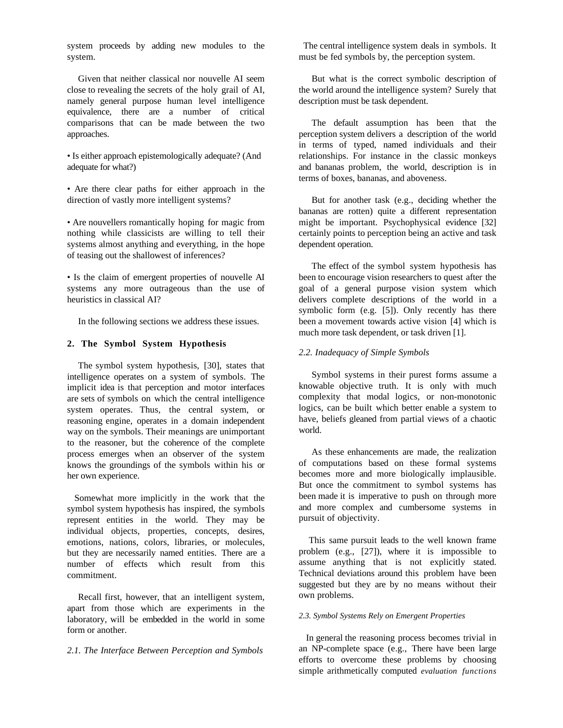system proceeds by adding new modules to the system.

Given that neither classical nor nouvelle AI seem close to revealing the secrets of the holy grail of AI, namely general purpose human level intelligence equivalence, there are a number of critical comparisons that can be made between the two approaches.

• Is either approach epistemologically adequate? (And adequate for what?)

• Are there clear paths for either approach in the direction of vastly more intelligent systems?

• Are nouvellers romantically hoping for magic from nothing while classicists are willing to tell their systems almost anything and everything, in the hope of teasing out the shallowest of inferences?

• Is the claim of emergent properties of nouvelle AI systems any more outrageous than the use of heuristics in classical AI?

In the following sections we address these issues.

## **2. The Symbol System Hypothesis**

The symbol system hypothesis, [30], states that intelligence operates on a system of symbols. The implicit idea is that perception and motor interfaces are sets of symbols on which the central intelligence system operates. Thus, the central system, or reasoning engine, operates in a domain independent way on the symbols. Their meanings are unimportant to the reasoner, but the coherence of the complete process emerges when an observer of the system knows the groundings of the symbols within his or her own experience.

Somewhat more implicitly in the work that the symbol system hypothesis has inspired, the symbols represent entities in the world. They may be individual objects, properties, concepts, desires, emotions, nations, colors, libraries, or molecules, but they are necessarily named entities. There are a number of effects which result from this commitment.

Recall first, however, that an intelligent system, apart from those which are experiments in the laboratory, will be embedded in the world in some form or another.

#### *2.1. The Interface Between Perception and Symbols*

The central intelligence system deals in symbols. It must be fed symbols by, the perception system.

But what is the correct symbolic description of the world around the intelligence system? Surely that description must be task dependent.

The default assumption has been that the perception system delivers a description of the world in terms of typed, named individuals and their relationships. For instance in the classic monkeys and bananas problem, the world, description is in terms of boxes, bananas, and aboveness.

But for another task (e.g., deciding whether the bananas are rotten) quite a different representation might be important. Psychophysical evidence [32] certainly points to perception being an active and task dependent operation.

The effect of the symbol system hypothesis has been to encourage vision researchers to quest after the goal of a general purpose vision system which delivers complete descriptions of the world in a symbolic form (e.g. [5]). Only recently has there been a movement towards active vision [4] which is much more task dependent, or task driven [1].

#### *2.2. Inadequacy of Simple Symbols*

Symbol systems in their purest forms assume a knowable objective truth. It is only with much complexity that modal logics, or non-monotonic logics, can be built which better enable a system to have, beliefs gleaned from partial views of a chaotic world.

As these enhancements are made, the realization of computations based on these formal systems becomes more and more biologically implausible. But once the commitment to symbol systems has been made it is imperative to push on through more and more complex and cumbersome systems in pursuit of objectivity.

This same pursuit leads to the well known frame problem (e.g., [27]), where it is impossible to assume anything that is not explicitly stated. Technical deviations around this problem have been suggested but they are by no means without their own problems.

#### *2.3. Symbol Systems Rely on Emergent Properties*

In general the reasoning process becomes trivial in an NP-complete space (e.g., There have been large efforts to overcome these problems by choosing simple arithmetically computed *evaluation functions*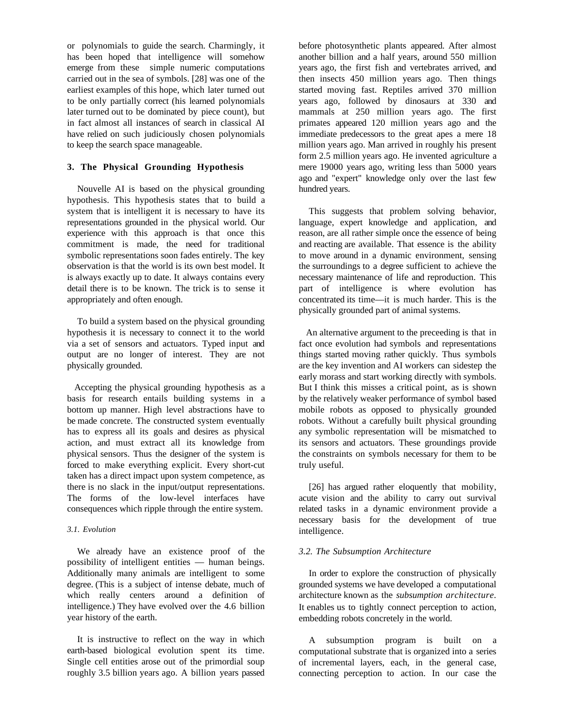or polynomials to guide the search. Charmingly, it has been hoped that intelligence will somehow emerge from these simple numeric computations carried out in the sea of symbols. [28] was one of the earliest examples of this hope, which later turned out to be only partially correct (his learned polynomials later turned out to be dominated by piece count), but in fact almost all instances of search in classical AI have relied on such judiciously chosen polynomials to keep the search space manageable.

# **3. The Physical Grounding Hypothesis**

Nouvelle AI is based on the physical grounding hypothesis. This hypothesis states that to build a system that is intelligent it is necessary to have its representations grounded in the physical world. Our experience with this approach is that once this commitment is made, the need for traditional symbolic representations soon fades entirely. The key observation is that the world is its own best model. It is always exactly up to date. It always contains every detail there is to be known. The trick is to sense it appropriately and often enough.

To build a system based on the physical grounding hypothesis it is necessary to connect it to the world via a set of sensors and actuators. Typed input and output are no longer of interest. They are not physically grounded.

Accepting the physical grounding hypothesis as a basis for research entails building systems in a bottom up manner. High level abstractions have to be made concrete. The constructed system eventually has to express all its goals and desires as physical action, and must extract all its knowledge from physical sensors. Thus the designer of the system is forced to make everything explicit. Every short-cut taken has a direct impact upon system competence, as there is no slack in the input/output representations. The forms of the low-level interfaces have consequences which ripple through the entire system.

## *3.1. Evolution*

We already have an existence proof of the possibility of intelligent entities — human beings. Additionally many animals are intelligent to some degree. (This is a subject of intense debate, much of which really centers around a definition of intelligence.) They have evolved over the 4.6 billion year history of the earth.

It is instructive to reflect on the way in which earth-based biological evolution spent its time. Single cell entities arose out of the primordial soup roughly 3.5 billion years ago. A billion years passed before photosynthetic plants appeared. After almost another billion and a half years, around 550 million years ago, the first fish and vertebrates arrived, and then insects 450 million years ago. Then things started moving fast. Reptiles arrived 370 million years ago, followed by dinosaurs at 330 and mammals at 250 million years ago. The first primates appeared 120 million years ago and the immediate predecessors to the great apes a mere 18 million years ago. Man arrived in roughly his present form 2.5 million years ago. He invented agriculture a mere 19000 years ago, writing less than 5000 years ago and "expert" knowledge only over the last few hundred years.

This suggests that problem solving behavior, language, expert knowledge and application, and reason, are all rather simple once the essence of being and reacting are available. That essence is the ability to move around in a dynamic environment, sensing the surroundings to a degree sufficient to achieve the necessary maintenance of life and reproduction. This part of intelligence is where evolution has concentrated its time—it is much harder. This is the physically grounded part of animal systems.

An alternative argument to the preceeding is that in fact once evolution had symbols and representations things started moving rather quickly. Thus symbols are the key invention and AI workers can sidestep the early morass and start working directly with symbols. But I think this misses a critical point, as is shown by the relatively weaker performance of symbol based mobile robots as opposed to physically grounded robots. Without a carefully built physical grounding any symbolic representation will be mismatched to its sensors and actuators. These groundings provide the constraints on symbols necessary for them to be truly useful.

[26] has argued rather eloquently that mobility, acute vision and the ability to carry out survival related tasks in a dynamic environment provide a necessary basis for the development of true intelligence.

## *3.2. The Subsumption Architecture*

In order to explore the construction of physically grounded systems we have developed a computational architecture known as the *subsumption architecture.* It enables us to tightly connect perception to action, embedding robots concretely in the world.

A subsumption program is built on a computational substrate that is organized into a series of incremental layers, each, in the general case, connecting perception to action. In our case the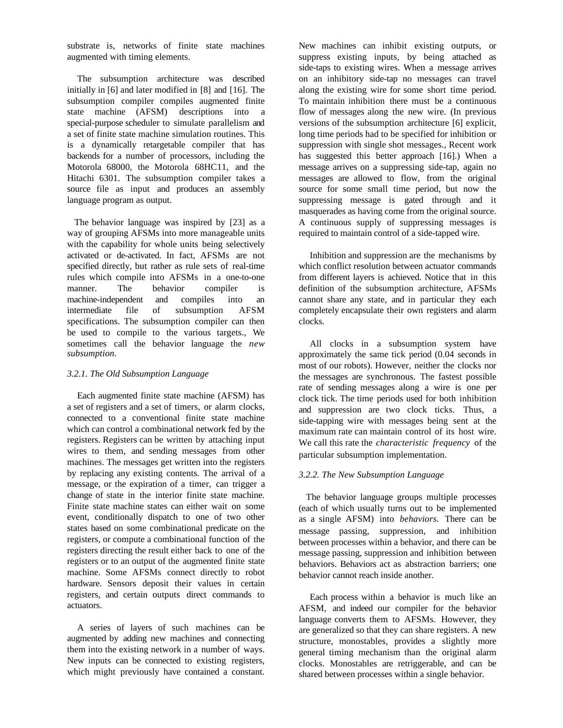substrate is, networks of finite state machines augmented with timing elements.

The subsumption architecture was described initially in [6] and later modified in [8] and [16]. The subsumption compiler compiles augmented finite state machine (AFSM) descriptions into a special-purpose scheduler to simulate parallelism and a set of finite state machine simulation routines. This is a dynamically retargetable compiler that has backends for a number of processors, including the Motorola 68000, the Motorola 68HC11, and the Hitachi 6301. The subsumption compiler takes a source file as input and produces an assembly language program as output.

The behavior language was inspired by [23] as a way of grouping AFSMs into more manageable units with the capability for whole units being selectively activated or de-activated. In fact, AFSMs are not specified directly, but rather as rule sets of real-time rules which compile into AFSMs in a one-to-one manner. The behavior compiler is machine-independent and compiles into an intermediate file of subsumption AFSM specifications. The subsumption compiler can then be used to compile to the various targets., We sometimes call the behavior language the *new subsumption.*

# *3.2.1. The Old Subsumption Language*

Each augmented finite state machine (AFSM) has a set of registers and a set of timers, or alarm clocks, connected to a conventional finite state machine which can control a combinational network fed by the registers. Registers can be written by attaching input wires to them, and sending messages from other machines. The messages get written into the registers by replacing any existing contents. The arrival of a message, or the expiration of a timer, can trigger a change of state in the interior finite state machine. Finite state machine states can either wait on some event, conditionally dispatch to one of two other states based on some combinational predicate on the registers, or compute a combinational function of the registers directing the result either back to one of the registers or to an output of the augmented finite state machine. Some AFSMs connect directly to robot hardware. Sensors deposit their values in certain registers, and certain outputs direct commands to actuators.

A series of layers of such machines can be augmented by adding new machines and connecting them into the existing network in a number of ways. New inputs can be connected to existing registers, which might previously have contained a constant.

New machines can inhibit existing outputs, or suppress existing inputs, by being attached as side-taps to existing wires. When a message arrives on an inhibitory side-tap no messages can travel along the existing wire for some short time period. To maintain inhibition there must be a continuous flow of messages along the new wire. (In previous versions of the subsumption architecture [6] explicit, long time periods had to be specified for inhibition or suppression with single shot messages., Recent work has suggested this better approach [16].) When a message arrives on a suppressing side-tap, again no messages are allowed to flow, from the original source for some small time period, but now the suppressing message is gated through and it masquerades as having come from the original source. A continuous supply of suppressing messages is required to maintain control of a side-tapped wire.

Inhibition and suppression are the mechanisms by which conflict resolution between actuator commands from different layers is achieved. Notice that in this definition of the subsumption architecture, AFSMs cannot share any state, and in particular they each completely encapsulate their own registers and alarm clocks.

All clocks in a subsumption system have approximately the same tick period (0.04 seconds in most of our robots). However, neither the clocks nor the messages are synchronous. The fastest possible rate of sending messages along a wire is one per clock tick. The time periods used for both inhibition and suppression are two clock ticks. Thus, a side-tapping wire with messages being sent at the maximum rate can maintain control of its host wire. We call this rate the *characteristic frequency* of the particular subsumption implementation.

#### *3.2.2. The New Subsumption Language*

The behavior language groups multiple processes (each of which usually turns out to be implemented as a single AFSM) into *behaviors.* There can be message passing, suppression, and inhibition between processes within a behavior, and there can be message passing, suppression and inhibition between behaviors. Behaviors act as abstraction barriers; one behavior cannot reach inside another.

Each process within a behavior is much like an AFSM, and indeed our compiler for the behavior language converts them to AFSMs. However, they are generalized so that they can share registers. A new structure, monostables, provides a slightly more general timing mechanism than the original alarm clocks. Monostables are retriggerable, and can be shared between processes within a single behavior.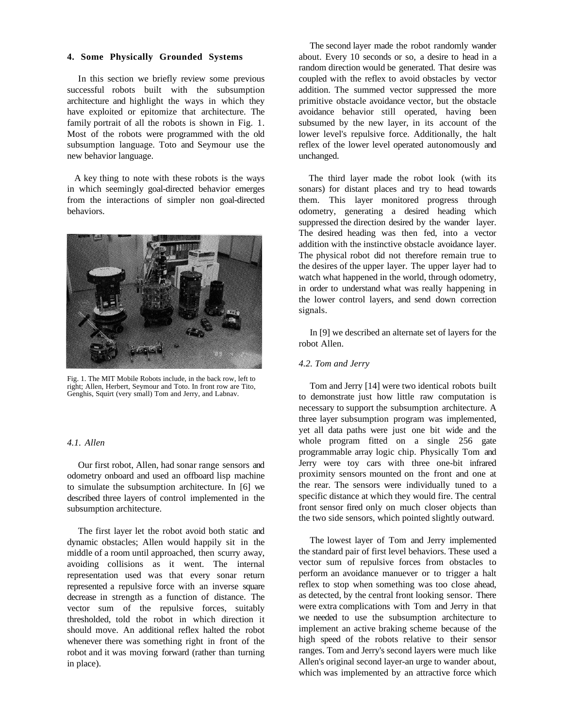## **4. Some Physically Grounded Systems**

In this section we briefly review some previous successful robots built with the subsumption architecture and highlight the ways in which they have exploited or epitomize that architecture. The family portrait of all the robots is shown in Fig. 1. Most of the robots were programmed with the old subsumption language. Toto and Seymour use the new behavior language.

A key thing to note with these robots is the ways in which seemingly goal-directed behavior emerges from the interactions of simpler non goal-directed behaviors.



Fig. 1. The MIT Mobile Robots include, in the back row, left to right; Allen, Herbert, Seymour and Toto. In front row are Tito, Genghis, Squirt (very small) Tom and Jerry, and Labnav.

# *4.1. Allen*

Our first robot, Allen, had sonar range sensors and odometry onboard and used an offboard lisp machine to simulate the subsumption architecture. In [6] we described three layers of control implemented in the subsumption architecture.

The first layer let the robot avoid both static and dynamic obstacles; Allen would happily sit in the middle of a room until approached, then scurry away, avoiding collisions as it went. The internal representation used was that every sonar return represented a repulsive force with an inverse square decrease in strength as a function of distance. The vector sum of the repulsive forces, suitably thresholded, told the robot in which direction it should move. An additional reflex halted the robot whenever there was something right in front of the robot and it was moving forward (rather than turning in place).

The second layer made the robot randomly wander about. Every 10 seconds or so, a desire to head in a random direction would be generated. That desire was coupled with the reflex to avoid obstacles by vector addition. The summed vector suppressed the more primitive obstacle avoidance vector, but the obstacle avoidance behavior still operated, having been subsumed by the new layer, in its account of the lower level's repulsive force. Additionally, the halt reflex of the lower level operated autonomously and unchanged.

The third layer made the robot look (with its sonars) for distant places and try to head towards them. This layer monitored progress through odometry, generating a desired heading which suppressed the direction desired by the wander layer. The desired heading was then fed, into a vector addition with the instinctive obstacle avoidance layer. The physical robot did not therefore remain true to the desires of the upper layer. The upper layer had to watch what happened in the world, through odometry, in order to understand what was really happening in the lower control layers, and send down correction signals.

In [9] we described an alternate set of layers for the robot Allen.

#### *4.2. Tom and Jerry*

Tom and Jerry [14] were two identical robots built to demonstrate just how little raw computation is necessary to support the subsumption architecture. A three layer subsumption program was implemented, yet all data paths were just one bit wide and the whole program fitted on a single 256 gate programmable array logic chip. Physically Tom and Jerry were toy cars with three one-bit infrared proximity sensors mounted on the front and one at the rear. The sensors were individually tuned to a specific distance at which they would fire. The central front sensor fired only on much closer objects than the two side sensors, which pointed slightly outward.

The lowest layer of Tom and Jerry implemented the standard pair of first level behaviors. These used a vector sum of repulsive forces from obstacles to perform an avoidance manuever or to trigger a halt reflex to stop when something was too close ahead, as detected, by the central front looking sensor. There were extra complications with Tom and Jerry in that we needed to use the subsumption architecture to implement an active braking scheme because of the high speed of the robots relative to their sensor ranges. Tom and Jerry's second layers were much like Allen's original second layer-an urge to wander about, which was implemented by an attractive force which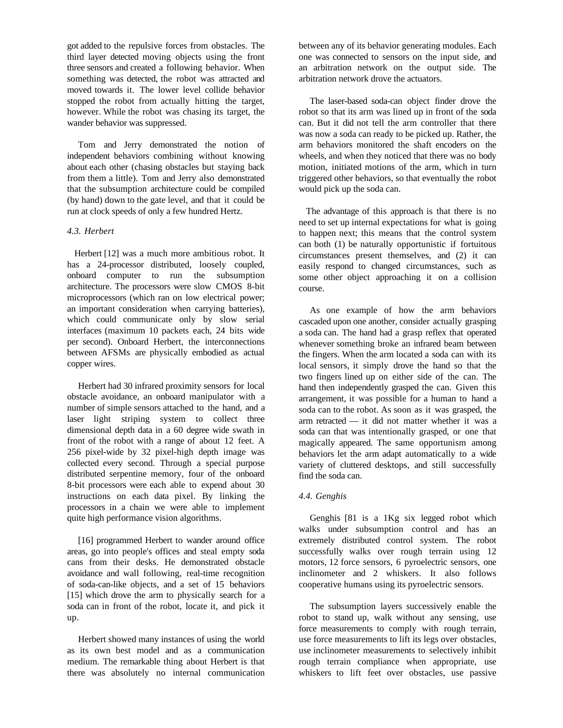got added to the repulsive forces from obstacles. The third layer detected moving objects using the front three sensors and created a following behavior. When something was detected, the robot was attracted and moved towards it. The lower level collide behavior stopped the robot from actually hitting the target, however. While the robot was chasing its target, the wander behavior was suppressed.

Tom and Jerry demonstrated the notion of independent behaviors combining without knowing about each other (chasing obstacles but staying back from them a little). Tom and Jerry also demonstrated that the subsumption architecture could be compiled (by hand) down to the gate level, and that it could be run at clock speeds of only a few hundred Hertz.

#### *4.3. Herbert*

Herbert [12] was a much more ambitious robot. It has a 24-processor distributed, loosely coupled, onboard computer to run the subsumption architecture. The processors were slow CMOS 8-bit microprocessors (which ran on low electrical power; an important consideration when carrying batteries), which could communicate only by slow serial interfaces (maximum 10 packets each, 24 bits wide per second). Onboard Herbert, the interconnections between AFSMs are physically embodied as actual copper wires.

Herbert had 30 infrared proximity sensors for local obstacle avoidance, an onboard manipulator with a number of simple sensors attached to the hand, and a laser light striping system to collect three dimensional depth data in a 60 degree wide swath in front of the robot with a range of about 12 feet. A 256 pixel-wide by 32 pixel-high depth image was collected every second. Through a special purpose distributed serpentine memory, four of the onboard 8-bit processors were each able to expend about 30 instructions on each data pixel. By linking the processors in a chain we were able to implement quite high performance vision algorithms.

[16] programmed Herbert to wander around office areas, go into people's offices and steal empty soda cans from their desks. He demonstrated obstacle avoidance and wall following, real-time recognition of soda-can-like objects, and a set of 15 behaviors [15] which drove the arm to physically search for a soda can in front of the robot, locate it, and pick it up.

Herbert showed many instances of using the world as its own best model and as a communication medium. The remarkable thing about Herbert is that there was absolutely no internal communication between any of its behavior generating modules. Each one was connected to sensors on the input side, and an arbitration network on the output side. The arbitration network drove the actuators.

The laser-based soda-can object finder drove the robot so that its arm was lined up in front of the soda can. But it did not tell the arm controller that there was now a soda can ready to be picked up. Rather, the arm behaviors monitored the shaft encoders on the wheels, and when they noticed that there was no body motion, initiated motions of the arm, which in turn triggered other behaviors, so that eventually the robot would pick up the soda can.

The advantage of this approach is that there is no need to set up internal expectations for what is going to happen next; this means that the control system can both (1) be naturally opportunistic if fortuitous circumstances present themselves, and (2) it can easily respond to changed circumstances, such as some other object approaching it on a collision course.

As one example of how the arm behaviors cascaded upon one another, consider actually grasping a soda can. The hand had a grasp reflex that operated whenever something broke an infrared beam between the fingers. When the arm located a soda can with its local sensors, it simply drove the hand so that the two fingers lined up on either side of the can. The hand then independently grasped the can. Given this arrangement, it was possible for a human to hand a soda can to the robot. As soon as it was grasped, the arm retracted — it did not matter whether it was a soda can that was intentionally grasped, or one that magically appeared. The same opportunism among behaviors let the arm adapt automatically to a wide variety of cluttered desktops, and still successfully find the soda can.

#### *4.4. Genghis*

Genghis [81 is a 1Kg six legged robot which walks under subsumption control and has an extremely distributed control system. The robot successfully walks over rough terrain using 12 motors, 12 force sensors, 6 pyroelectric sensors, one inclinometer and 2 whiskers. It also follows cooperative humans using its pyroelectric sensors.

The subsumption layers successively enable the robot to stand up, walk without any sensing, use force measurements to comply with rough terrain, use force measurements to lift its legs over obstacles, use inclinometer measurements to selectively inhibit rough terrain compliance when appropriate, use whiskers to lift feet over obstacles, use passive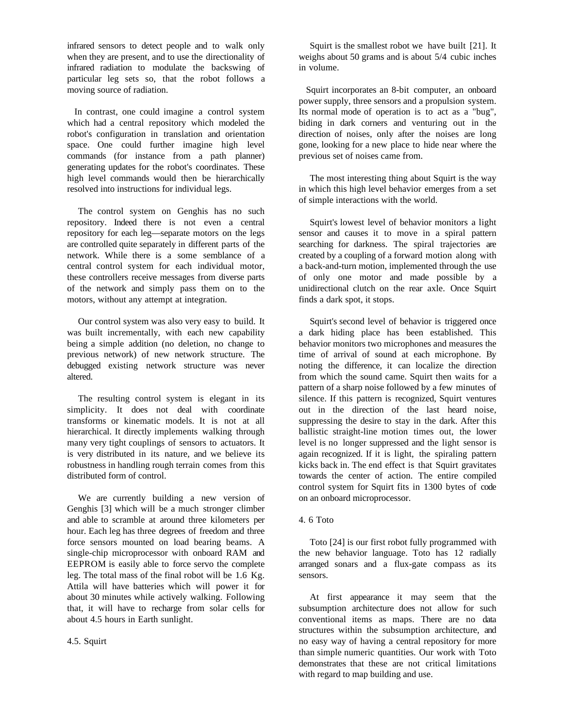infrared sensors to detect people and to walk only when they are present, and to use the directionality of infrared radiation to modulate the backswing of particular leg sets so, that the robot follows a moving source of radiation.

In contrast, one could imagine a control system which had a central repository which modeled the robot's configuration in translation and orientation space. One could further imagine high level commands (for instance from a path planner) generating updates for the robot's coordinates. These high level commands would then be hierarchically resolved into instructions for individual legs.

The control system on Genghis has no such repository. Indeed there is not even a central repository for each leg—separate motors on the legs are controlled quite separately in different parts of the network. While there is a some semblance of a central control system for each individual motor, these controllers receive messages from diverse parts of the network and simply pass them on to the motors, without any attempt at integration.

Our control system was also very easy to build. It was built incrementally, with each new capability being a simple addition (no deletion, no change to previous network) of new network structure. The debugged existing network structure was never altered.

The resulting control system is elegant in its simplicity. It does not deal with coordinate transforms or kinematic models. It is not at all hierarchical. It directly implements walking through many very tight couplings of sensors to actuators. It is very distributed in its nature, and we believe its robustness in handling rough terrain comes from this distributed form of control.

We are currently building a new version of Genghis [3] which will be a much stronger climber and able to scramble at around three kilometers per hour. Each leg has three degrees of freedom and three force sensors mounted on load bearing beams. A single-chip microprocessor with onboard RAM and EEPROM is easily able to force servo the complete leg. The total mass of the final robot will be 1.6 Kg. Attila will have batteries which will power it for about 30 minutes while actively walking. Following that, it will have to recharge from solar cells for about 4.5 hours in Earth sunlight.

4.5. Squirt

Squirt is the smallest robot we have built [21]. It weighs about 50 grams and is about 5/4 cubic inches in volume.

Squirt incorporates an 8-bit computer, an onboard power supply, three sensors and a propulsion system. Its normal mode of operation is to act as a "bug", biding in dark corners and venturing out in the direction of noises, only after the noises are long gone, looking for a new place to hide near where the previous set of noises came from.

The most interesting thing about Squirt is the way in which this high level behavior emerges from a set of simple interactions with the world.

Squirt's lowest level of behavior monitors a light sensor and causes it to move in a spiral pattern searching for darkness. The spiral trajectories are created by a coupling of a forward motion along with a back-and-turn motion, implemented through the use of only one motor and made possible by a unidirectional clutch on the rear axle. Once Squirt finds a dark spot, it stops.

Squirt's second level of behavior is triggered once a dark hiding place has been established. This behavior monitors two microphones and measures the time of arrival of sound at each microphone. By noting the difference, it can localize the direction from which the sound came. Squirt then waits for a pattern of a sharp noise followed by a few minutes of silence. If this pattern is recognized, Squirt ventures out in the direction of the last heard noise, suppressing the desire to stay in the dark. After this ballistic straight-line motion times out, the lower level is no longer suppressed and the light sensor is again recognized. If it is light, the spiraling pattern kicks back in. The end effect is that Squirt gravitates towards the center of action. The entire compiled control system for Squirt fits in 1300 bytes of code on an onboard microprocessor.

## 4. 6 Toto

Toto [24] is our first robot fully programmed with the new behavior language. Toto has 12 radially arranged sonars and a flux-gate compass as its sensors.

At first appearance it may seem that the subsumption architecture does not allow for such conventional items as maps. There are no data structures within the subsumption architecture, and no easy way of having a central repository for more than simple numeric quantities. Our work with Toto demonstrates that these are not critical limitations with regard to map building and use.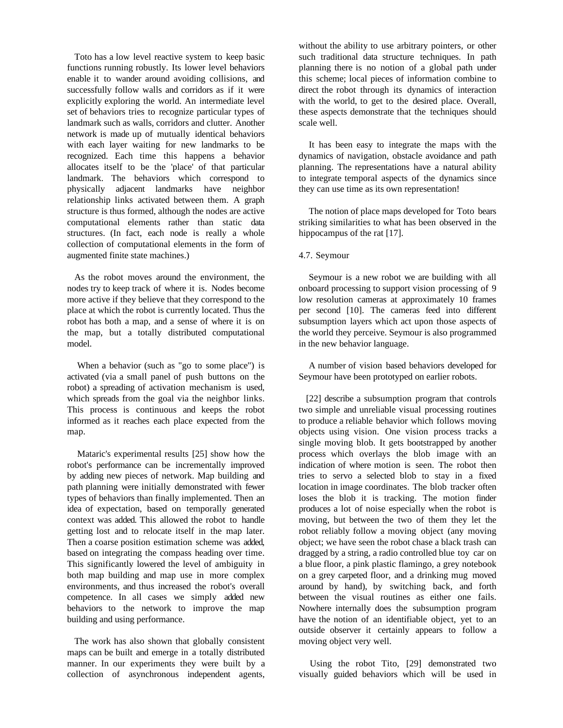Toto has a low level reactive system to keep basic functions running robustly. Its lower level behaviors enable it to wander around avoiding collisions, and successfully follow walls and corridors as if it were explicitly exploring the world. An intermediate level set of behaviors tries to recognize particular types of landmark such as walls, corridors and clutter. Another network is made up of mutually identical behaviors with each layer waiting for new landmarks to be recognized. Each time this happens a behavior allocates itself to be the 'place' of that particular landmark. The behaviors which correspond to physically adjacent landmarks have neighbor relationship links activated between them. A graph structure is thus formed, although the nodes are active computational elements rather than static data structures. (In fact, each node is really a whole collection of computational elements in the form of augmented finite state machines.)

As the robot moves around the environment, the nodes try to keep track of where it is. Nodes become more active if they believe that they correspond to the place at which the robot is currently located. Thus the robot has both a map, and a sense of where it is on the map, but a totally distributed computational model.

When a behavior (such as "go to some place") is activated (via a small panel of push buttons on the robot) a spreading of activation mechanism is used, which spreads from the goal via the neighbor links. This process is continuous and keeps the robot informed as it reaches each place expected from the map.

Mataric's experimental results [25] show how the robot's performance can be incrementally improved by adding new pieces of network. Map building and path planning were initially demonstrated with fewer types of behaviors than finally implemented. Then an idea of expectation, based on temporally generated context was added. This allowed the robot to handle getting lost and to relocate itself in the map later. Then a coarse position estimation scheme was added, based on integrating the compass heading over time. This significantly lowered the level of ambiguity in both map building and map use in more complex environments, and thus increased the robot's overall competence. In all cases we simply added new behaviors to the network to improve the map building and using performance.

The work has also shown that globally consistent maps can be built and emerge in a totally distributed manner. In our experiments they were built by a collection of asynchronous independent agents, without the ability to use arbitrary pointers, or other such traditional data structure techniques. In path planning there is no notion of a global path under this scheme; local pieces of information combine to direct the robot through its dynamics of interaction with the world, to get to the desired place. Overall, these aspects demonstrate that the techniques should scale well.

It has been easy to integrate the maps with the dynamics of navigation, obstacle avoidance and path planning. The representations have a natural ability to integrate temporal aspects of the dynamics since they can use time as its own representation!

The notion of place maps developed for Toto bears striking similarities to what has been observed in the hippocampus of the rat [17].

#### 4.7. Seymour

Seymour is a new robot we are building with all onboard processing to support vision processing of 9 low resolution cameras at approximately 10 frames per second [10]. The cameras feed into different subsumption layers which act upon those aspects of the world they perceive. Seymour is also programmed in the new behavior language.

A number of vision based behaviors developed for Seymour have been prototyped on earlier robots.

[22] describe a subsumption program that controls two simple and unreliable visual processing routines to produce a reliable behavior which follows moving objects using vision. One vision process tracks a single moving blob. It gets bootstrapped by another process which overlays the blob image with an indication of where motion is seen. The robot then tries to servo a selected blob to stay in a fixed location in image coordinates. The blob tracker often loses the blob it is tracking. The motion finder produces a lot of noise especially when the robot is moving, but between the two of them they let the robot reliably follow a moving object (any moving object; we have seen the robot chase a black trash can dragged by a string, a radio controlled blue toy car on a blue floor, a pink plastic flamingo, a grey notebook on a grey carpeted floor, and a drinking mug moved around by hand), by switching back, and forth between the visual routines as either one fails. Nowhere internally does the subsumption program have the notion of an identifiable object, yet to an outside observer it certainly appears to follow a moving object very well.

Using the robot Tito, [29] demonstrated two visually guided behaviors which will be used in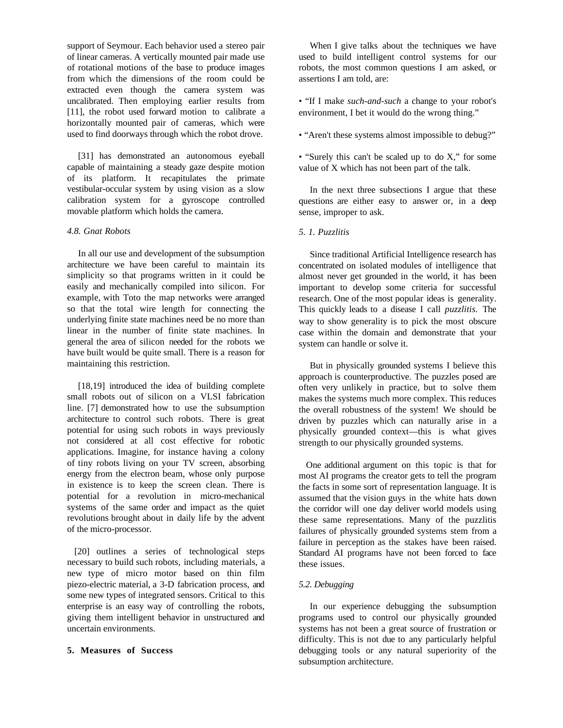support of Seymour. Each behavior used a stereo pair of linear cameras. A vertically mounted pair made use of rotational motions of the base to produce images from which the dimensions of the room could be extracted even though the camera system was uncalibrated. Then employing earlier results from [11], the robot used forward motion to calibrate a horizontally mounted pair of cameras, which were used to find doorways through which the robot drove.

[31] has demonstrated an autonomous eyeball capable of maintaining a steady gaze despite motion of its platform. It recapitulates the primate vestibular-occular system by using vision as a slow calibration system for a gyroscope controlled movable platform which holds the camera.

## *4.8. Gnat Robots*

In all our use and development of the subsumption architecture we have been careful to maintain its simplicity so that programs written in it could be easily and mechanically compiled into silicon. For example, with Toto the map networks were arranged so that the total wire length for connecting the underlying finite state machines need be no more than linear in the number of finite state machines. In general the area of silicon needed for the robots we have built would be quite small. There is a reason for maintaining this restriction.

[18,19] introduced the idea of building complete small robots out of silicon on a VLSI fabrication line. [7] demonstrated how to use the subsumption architecture to control such robots. There is great potential for using such robots in ways previously not considered at all cost effective for robotic applications. Imagine, for instance having a colony of tiny robots living on your TV screen, absorbing energy from the electron beam, whose only purpose in existence is to keep the screen clean. There is potential for a revolution in micro-mechanical systems of the same order and impact as the quiet revolutions brought about in daily life by the advent of the micro-processor.

[20] outlines a series of technological steps necessary to build such robots, including materials, a new type of micro motor based on thin film piezo-electric material, a 3-D fabrication process, and some new types of integrated sensors. Critical to this enterprise is an easy way of controlling the robots, giving them intelligent behavior in unstructured and uncertain environments.

#### **5. Measures of Success**

When I give talks about the techniques we have used to build intelligent control systems for our robots, the most common questions I am asked, or assertions I am told, are:

• "If I make *such-and-such* a change to your robot's environment, I bet it would do the wrong thing."

- "Aren't these systems almost impossible to debug?"
- "Surely this can't be scaled up to do X," for some value of X which has not been part of the talk.

In the next three subsections I argue that these questions are either easy to answer or, in a deep sense, improper to ask.

#### *5. 1. Puzzlitis*

Since traditional Artificial Intelligence research has concentrated on isolated modules of intelligence that almost never get grounded in the world, it has been important to develop some criteria for successful research. One of the most popular ideas is generality. This quickly leads to a disease I call *puzzlitis.* The way to show generality is to pick the most obscure case within the domain and demonstrate that your system can handle or solve it.

But in physically grounded systems I believe this approach is counterproductive. The puzzles posed are often very unlikely in practice, but to solve them makes the systems much more complex. This reduces the overall robustness of the system! We should be driven by puzzles which can naturally arise in a physically grounded context—this is what gives strength to our physically grounded systems.

One additional argument on this topic is that for most AI programs the creator gets to tell the program the facts in some sort of representation language. It is assumed that the vision guys in the white hats down the corridor will one day deliver world models using these same representations. Many of the puzzlitis failures of physically grounded systems stem from a failure in perception as the stakes have been raised. Standard AI programs have not been forced to face these issues.

## *5.2. Debugging*

In our experience debugging the subsumption programs used to control our physically grounded systems has not been a great source of frustration or difficulty. This is not due to any particularly helpful debugging tools or any natural superiority of the subsumption architecture.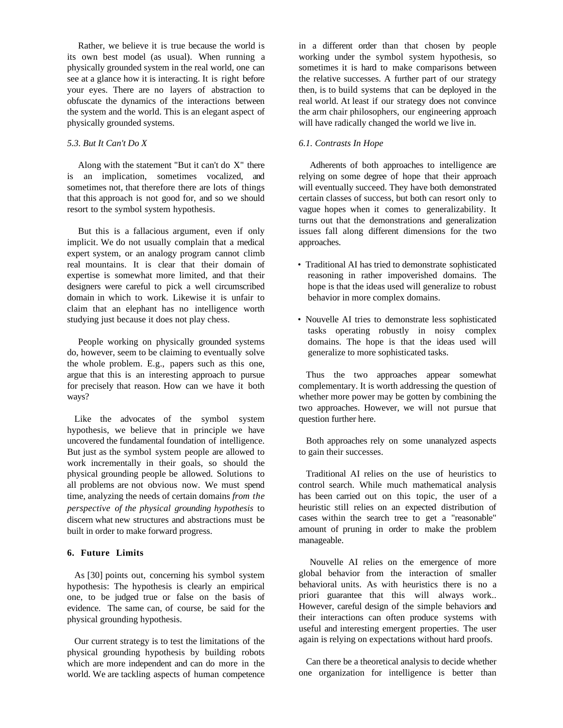Rather, we believe it is true because the world is its own best model (as usual). When running a physically grounded system in the real world, one can see at a glance how it is interacting. It is right before your eyes. There are no layers of abstraction to obfuscate the dynamics of the interactions between the system and the world. This is an elegant aspect of physically grounded systems.

#### *5.3. But It Can't Do X*

Along with the statement "But it can't do X" there is an implication, sometimes vocalized, and sometimes not, that therefore there are lots of things that this approach is not good for, and so we should resort to the symbol system hypothesis.

But this is a fallacious argument, even if only implicit. We do not usually complain that a medical expert system, or an analogy program cannot climb real mountains. It is clear that their domain of expertise is somewhat more limited, and that their designers were careful to pick a well circumscribed domain in which to work. Likewise it is unfair to claim that an elephant has no intelligence worth studying just because it does not play chess.

People working on physically grounded systems do, however, seem to be claiming to eventually solve the whole problem. E.g., papers such as this one, argue that this is an interesting approach to pursue for precisely that reason. How can we have it both ways?

Like the advocates of the symbol system hypothesis, we believe that in principle we have uncovered the fundamental foundation of intelligence. But just as the symbol system people are allowed to work incrementally in their goals, so should the physical grounding people be allowed. Solutions to all problems are not obvious now. We must spend time, analyzing the needs of certain domains *from the perspective of the physical grounding hypothesis* to discern what new structures and abstractions must be built in order to make forward progress.

## **6. Future Limits**

As [30] points out, concerning his symbol system hypothesis: The hypothesis is clearly an empirical one, to be judged true or false on the basis of evidence. The same can, of course, be said for the physical grounding hypothesis.

Our current strategy is to test the limitations of the physical grounding hypothesis by building robots which are more independent and can do more in the world. We are tackling aspects of human competence in a different order than that chosen by people working under the symbol system hypothesis, so sometimes it is hard to make comparisons between the relative successes. A further part of our strategy then, is to build systems that can be deployed in the real world. At least if our strategy does not convince the arm chair philosophers, our engineering approach will have radically changed the world we live in.

#### *6.1. Contrasts In Hope*

Adherents of both approaches to intelligence are relying on some degree of hope that their approach will eventually succeed. They have both demonstrated certain classes of success, but both can resort only to vague hopes when it comes to generalizability. It turns out that the demonstrations and generalization issues fall along different dimensions for the two approaches.

- Traditional AI has tried to demonstrate sophisticated reasoning in rather impoverished domains. The hope is that the ideas used will generalize to robust behavior in more complex domains.
- Nouvelle AI tries to demonstrate less sophisticated tasks operating robustly in noisy complex domains. The hope is that the ideas used will generalize to more sophisticated tasks.

Thus the two approaches appear somewhat complementary. It is worth addressing the question of whether more power may be gotten by combining the two approaches. However, we will not pursue that question further here.

Both approaches rely on some unanalyzed aspects to gain their successes.

Traditional AI relies on the use of heuristics to control search. While much mathematical analysis has been carried out on this topic, the user of a heuristic still relies on an expected distribution of cases within the search tree to get a "reasonable" amount of pruning in order to make the problem manageable.

Nouvelle AI relies on the emergence of more global behavior from the interaction of smaller behavioral units. As with heuristics there is no a priori guarantee that this will always work.. However, careful design of the simple behaviors and their interactions can often produce systems with useful and interesting emergent properties. The user again is relying on expectations without hard proofs.

Can there be a theoretical analysis to decide whether one organization for intelligence is better than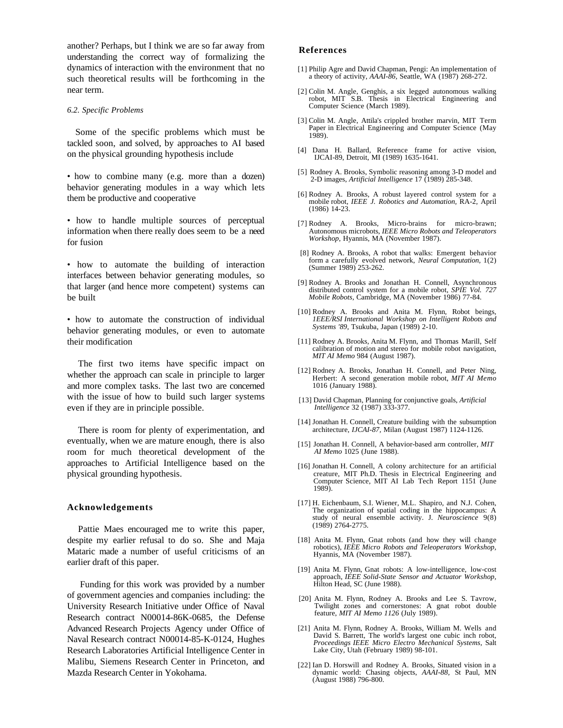another? Perhaps, but I think we are so far away from understanding the correct way of formalizing the dynamics of interaction with the environment that no such theoretical results will be forthcoming in the near term.

#### *6.2. Specific Problems*

Some of the specific problems which must be tackled soon, and solved, by approaches to AI based on the physical grounding hypothesis include

• how to combine many (e.g. more than a dozen) behavior generating modules in a way which lets them be productive and cooperative

- how to handle multiple sources of perceptual information when there really does seem to be a need for fusion
- how to automate the building of interaction interfaces between behavior generating modules, so that larger (and hence more competent) systems can be built
- how to automate the construction of individual behavior generating modules, or even to automate their modification

The first two items have specific impact on whether the approach can scale in principle to larger and more complex tasks. The last two are concerned with the issue of how to build such larger systems even if they are in principle possible.

There is room for plenty of experimentation, and eventually, when we are mature enough, there is also room for much theoretical development of the approaches to Artificial Intelligence based on the physical grounding hypothesis.

#### **Acknowledgements**

Pattie Maes encouraged me to write this paper, despite my earlier refusal to do so. She and Maja Mataric made a number of useful criticisms of an earlier draft of this paper.

Funding for this work was provided by a number of government agencies and companies including: the University Research Initiative under Office of Naval Research contract N00014-86K-0685, the Defense Advanced Research Projects Agency under Office of Naval Research contract N00014-85-K-0124, Hughes Research Laboratories Artificial Intelligence Center in Malibu, Siemens Research Center in Princeton, and Mazda Research Center in Yokohama.

#### **References**

- [1] Philip Agre and David Chapman, Pengi: An implementation of a theory of activity, *AAAI-86,* Seattle, WA (1987) 268-272.
- [2] Colin M. Angle, Genghis, a six legged autonomous walking robot, MIT S.B. Thesis in Electrical Engineering and Computer Science (March 1989).
- [3] Colin M. Angle, Attila's crippled brother marvin, MIT Term Paper in Electrical Engineering and Computer Science (May 1989).
- [4] Dana H. Ballard, Reference frame for active vision, IJCAI-89, Detroit, MI (1989) 1635-1641.
- [5] Rodney A. Brooks, Symbolic reasoning among 3-D model and 2-D images, *Artificial Intelligence* 17 (1989) 285-348.
- [6] Rodney A. Brooks, A robust layered control system for a mobile robot, *IEEE J. Robotics and Automation,* RA-2, April (1986) 14-23.
- [7] Rodney A. Brooks, Micro-brains for micro-brawn; Autonomous microbots, *IEEE Micro Robots and Teleoperators Workshop,* Hyannis, MA (November 1987).
- [8] Rodney A. Brooks, A robot that walks: Emergent behavior form a carefully evolved network, *Neural Computation,* 1(2) (Summer 1989) 253-262.
- [9] Rodney A. Brooks and Jonathan H. Connell, Asynchronous distributed control system for a mobile robot, *SPIE Vol. 727 Mobile Robots,* Cambridge, MA (November 1986) 77-84.
- [10] Rodney A. Brooks and Anita M. Flynn, Robot beings, *1EEE/RSI International Workshop on Intelligent Robots and Systems '89,* Tsukuba, Japan (1989) 2-10.
- [11] Rodney A. Brooks, Anita M. Flynn, and Thomas Marill, Self calibration of motion and stereo for mobile robot navigation, *MIT AI Memo* 984 (August 1987).
- [12] Rodney A. Brooks, Jonathan H. Connell, and Peter Ning, Herbert: A second generation mobile robot, *MIT AI Memo* 1016 (January 1988).
- [13] David Chapman, Planning for conjunctive goals, *Artificial Intelligence* 32 (1987) 333-377.
- [14] Jonathan H. Connell, Creature building with the subsumption architecture, *IJCAI-87,* Milan (August 1987) 1124-1126.
- [15] Jonathan H. Connell, A behavior-based arm controller, *MIT AI Memo* 1025 (June 1988).
- [16] Jonathan H. Connell, A colony architecture for an artificial creature, MIT Ph.D. Thesis in Electrical Engineering and Computer Science, MIT AI Lab Tech Report 1151 (June 1989).
- [17] H. Eichenbaum, S.I. Wiener, M.L. Shapiro, and N.J. Cohen, The organization of spatial coding in the hippocampus: A study of neural ensemble activity. J. *Neuroscience* 9(8) (1989) 2764-2775.
- [18] Anita M. Flynn, Gnat robots (and how they will change robotics), *IEEE Micro Robots and Teleoperators Workshop,* Hyannis, MA (November 1987).
- [19] Anita M. Flynn, Gnat robots: A low-intelligence, low-cost approach, *IEEE Solid-State Sensor and Actuator Workshop,* Hilton Head, SC (June 1988).
- [20] Anita M. Flynn, Rodney A. Brooks and Lee S. Tavrow, Twilight zones and cornerstones: A gnat robot double feature, *MIT AI Memo 1126* (July 1989).
- [21] Anita M. Flynn, Rodney A. Brooks, William M. Wells and David S. Barrett, The world's largest one cubic inch robot, *Proceedings IEEE Micro Electro Mechanical Systems,* Salt Lake City, Utah (February 1989) 98-101.
- [22] Ian D. Horswill and Rodney A. Brooks, Situated vision in a dynamic world: Chasing objects, *AAAI-88,* St Paul, MN (August 1988) 796-800.